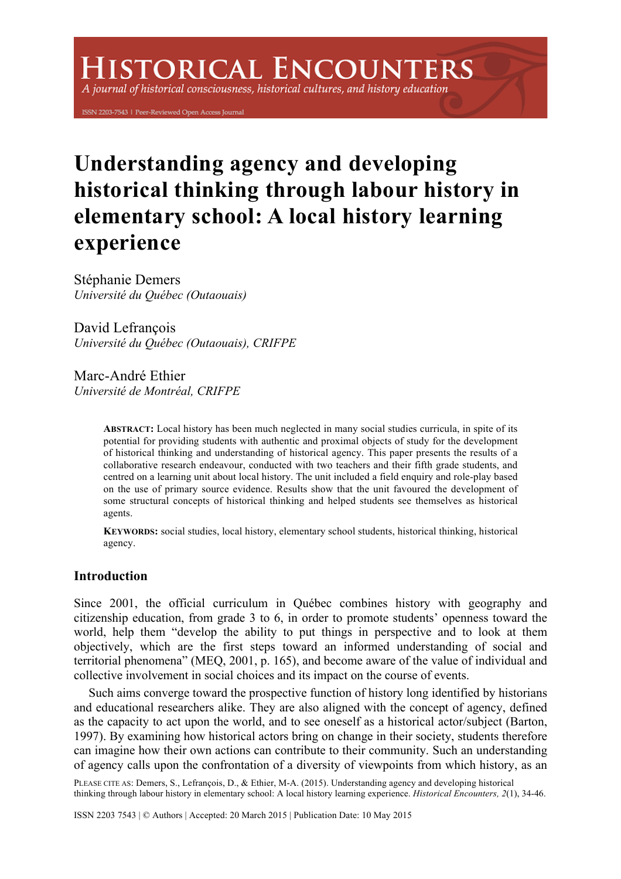# **ISTORICAL ENCOUNTERS**

A journal of historical consciousness, historical cultures, and history education

ISSN 2203-7543 | Peer-Reviewed Open Access Journal

# **Understanding agency and developing historical thinking through labour history in elementary school: A local history learning experience**

Stéphanie Demers *Université du Québec (Outaouais)* 

David Lefrancois *Université du Québec (Outaouais), CRIFPE* 

Marc-André Ethier *Université de Montréal, CRIFPE* 

> **ABSTRACT:** Local history has been much neglected in many social studies curricula, in spite of its potential for providing students with authentic and proximal objects of study for the development of historical thinking and understanding of historical agency. This paper presents the results of a collaborative research endeavour, conducted with two teachers and their fifth grade students, and centred on a learning unit about local history. The unit included a field enquiry and role-play based on the use of primary source evidence. Results show that the unit favoured the development of some structural concepts of historical thinking and helped students see themselves as historical agents.

> **KEYWORDS:** social studies, local history, elementary school students, historical thinking, historical agency.

# **Introduction**

Since 2001, the official curriculum in Québec combines history with geography and citizenship education, from grade 3 to 6, in order to promote students' openness toward the world, help them "develop the ability to put things in perspective and to look at them objectively, which are the first steps toward an informed understanding of social and territorial phenomena" (MEQ, 2001, p. 165), and become aware of the value of individual and collective involvement in social choices and its impact on the course of events.

Such aims converge toward the prospective function of history long identified by historians and educational researchers alike. They are also aligned with the concept of agency, defined as the capacity to act upon the world, and to see oneself as a historical actor/subject (Barton, 1997). By examining how historical actors bring on change in their society, students therefore can imagine how their own actions can contribute to their community. Such an understanding of agency calls upon the confrontation of a diversity of viewpoints from which history, as an

PLEASE CITE AS: Demers, S., Lefrançois, D., & Ethier, M-A. (2015). Understanding agency and developing historical thinking through labour history in elementary school: A local history learning experience. *Historical Encounters, 2*(1), 34-46.

ISSN 2203 7543 | © Authors | Accepted: 20 March 2015 | Publication Date: 10 May 2015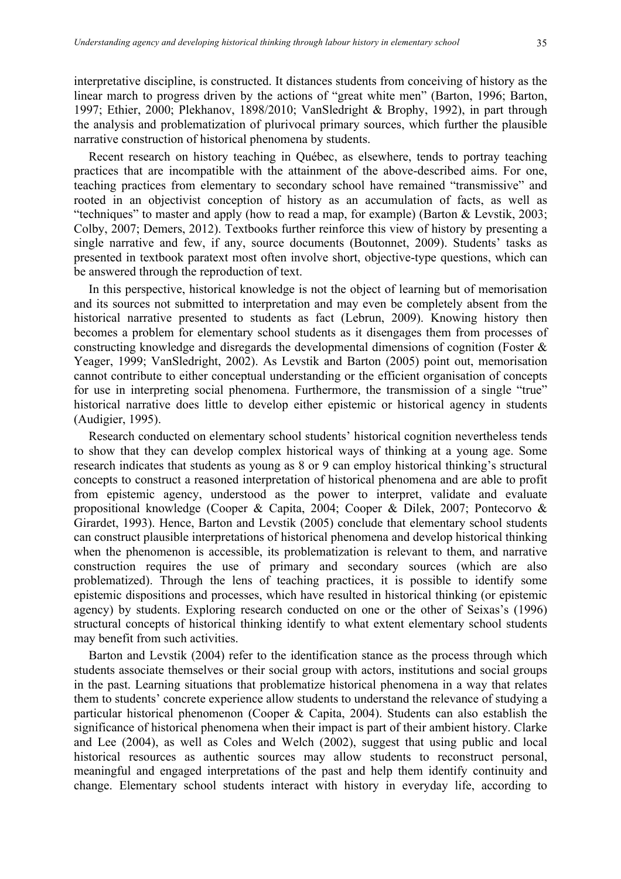interpretative discipline, is constructed. It distances students from conceiving of history as the linear march to progress driven by the actions of "great white men" (Barton, 1996; Barton, 1997; Ethier, 2000; Plekhanov, 1898/2010; VanSledright & Brophy, 1992), in part through the analysis and problematization of plurivocal primary sources, which further the plausible narrative construction of historical phenomena by students.

Recent research on history teaching in Québec, as elsewhere, tends to portray teaching practices that are incompatible with the attainment of the above-described aims. For one, teaching practices from elementary to secondary school have remained "transmissive" and rooted in an objectivist conception of history as an accumulation of facts, as well as "techniques" to master and apply (how to read a map, for example) (Barton & Levstik, 2003; Colby, 2007; Demers, 2012). Textbooks further reinforce this view of history by presenting a single narrative and few, if any, source documents (Boutonnet, 2009). Students' tasks as presented in textbook paratext most often involve short, objective-type questions, which can be answered through the reproduction of text.

In this perspective, historical knowledge is not the object of learning but of memorisation and its sources not submitted to interpretation and may even be completely absent from the historical narrative presented to students as fact (Lebrun, 2009). Knowing history then becomes a problem for elementary school students as it disengages them from processes of constructing knowledge and disregards the developmental dimensions of cognition (Foster & Yeager, 1999; VanSledright, 2002). As Levstik and Barton (2005) point out, memorisation cannot contribute to either conceptual understanding or the efficient organisation of concepts for use in interpreting social phenomena. Furthermore, the transmission of a single "true" historical narrative does little to develop either epistemic or historical agency in students (Audigier, 1995).

Research conducted on elementary school students' historical cognition nevertheless tends to show that they can develop complex historical ways of thinking at a young age. Some research indicates that students as young as 8 or 9 can employ historical thinking's structural concepts to construct a reasoned interpretation of historical phenomena and are able to profit from epistemic agency, understood as the power to interpret, validate and evaluate propositional knowledge (Cooper & Capita, 2004; Cooper & Dilek, 2007; Pontecorvo & Girardet, 1993). Hence, Barton and Levstik (2005) conclude that elementary school students can construct plausible interpretations of historical phenomena and develop historical thinking when the phenomenon is accessible, its problematization is relevant to them, and narrative construction requires the use of primary and secondary sources (which are also problematized). Through the lens of teaching practices, it is possible to identify some epistemic dispositions and processes, which have resulted in historical thinking (or epistemic agency) by students. Exploring research conducted on one or the other of Seixas's (1996) structural concepts of historical thinking identify to what extent elementary school students may benefit from such activities.

Barton and Levstik (2004) refer to the identification stance as the process through which students associate themselves or their social group with actors, institutions and social groups in the past. Learning situations that problematize historical phenomena in a way that relates them to students' concrete experience allow students to understand the relevance of studying a particular historical phenomenon (Cooper & Capita, 2004). Students can also establish the significance of historical phenomena when their impact is part of their ambient history. Clarke and Lee (2004), as well as Coles and Welch (2002), suggest that using public and local historical resources as authentic sources may allow students to reconstruct personal, meaningful and engaged interpretations of the past and help them identify continuity and change. Elementary school students interact with history in everyday life, according to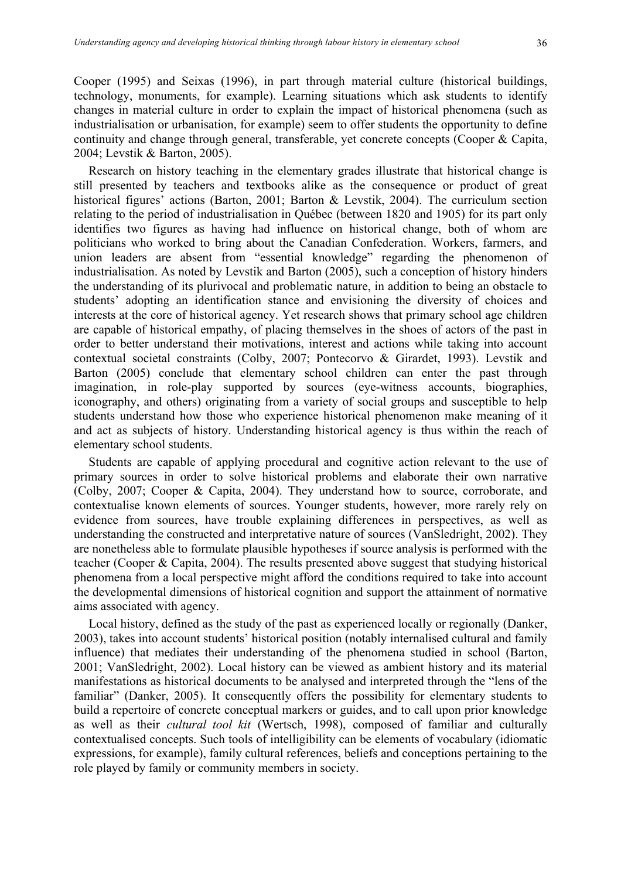Cooper (1995) and Seixas (1996), in part through material culture (historical buildings, technology, monuments, for example). Learning situations which ask students to identify changes in material culture in order to explain the impact of historical phenomena (such as industrialisation or urbanisation, for example) seem to offer students the opportunity to define continuity and change through general, transferable, yet concrete concepts (Cooper & Capita, 2004; Levstik & Barton, 2005).

Research on history teaching in the elementary grades illustrate that historical change is still presented by teachers and textbooks alike as the consequence or product of great historical figures' actions (Barton, 2001; Barton & Levstik, 2004). The curriculum section relating to the period of industrialisation in Québec (between 1820 and 1905) for its part only identifies two figures as having had influence on historical change, both of whom are politicians who worked to bring about the Canadian Confederation. Workers, farmers, and union leaders are absent from "essential knowledge" regarding the phenomenon of industrialisation. As noted by Levstik and Barton (2005), such a conception of history hinders the understanding of its plurivocal and problematic nature, in addition to being an obstacle to students' adopting an identification stance and envisioning the diversity of choices and interests at the core of historical agency. Yet research shows that primary school age children are capable of historical empathy, of placing themselves in the shoes of actors of the past in order to better understand their motivations, interest and actions while taking into account contextual societal constraints (Colby, 2007; Pontecorvo & Girardet, 1993). Levstik and Barton (2005) conclude that elementary school children can enter the past through imagination, in role-play supported by sources (eye-witness accounts, biographies, iconography, and others) originating from a variety of social groups and susceptible to help students understand how those who experience historical phenomenon make meaning of it and act as subjects of history. Understanding historical agency is thus within the reach of elementary school students.

Students are capable of applying procedural and cognitive action relevant to the use of primary sources in order to solve historical problems and elaborate their own narrative (Colby, 2007; Cooper & Capita, 2004). They understand how to source, corroborate, and contextualise known elements of sources. Younger students, however, more rarely rely on evidence from sources, have trouble explaining differences in perspectives, as well as understanding the constructed and interpretative nature of sources (VanSledright, 2002). They are nonetheless able to formulate plausible hypotheses if source analysis is performed with the teacher (Cooper & Capita, 2004). The results presented above suggest that studying historical phenomena from a local perspective might afford the conditions required to take into account the developmental dimensions of historical cognition and support the attainment of normative aims associated with agency.

Local history, defined as the study of the past as experienced locally or regionally (Danker, 2003), takes into account students' historical position (notably internalised cultural and family influence) that mediates their understanding of the phenomena studied in school (Barton, 2001; VanSledright, 2002). Local history can be viewed as ambient history and its material manifestations as historical documents to be analysed and interpreted through the "lens of the familiar" (Danker, 2005). It consequently offers the possibility for elementary students to build a repertoire of concrete conceptual markers or guides, and to call upon prior knowledge as well as their *cultural tool kit* (Wertsch, 1998), composed of familiar and culturally contextualised concepts. Such tools of intelligibility can be elements of vocabulary (idiomatic expressions, for example), family cultural references, beliefs and conceptions pertaining to the role played by family or community members in society.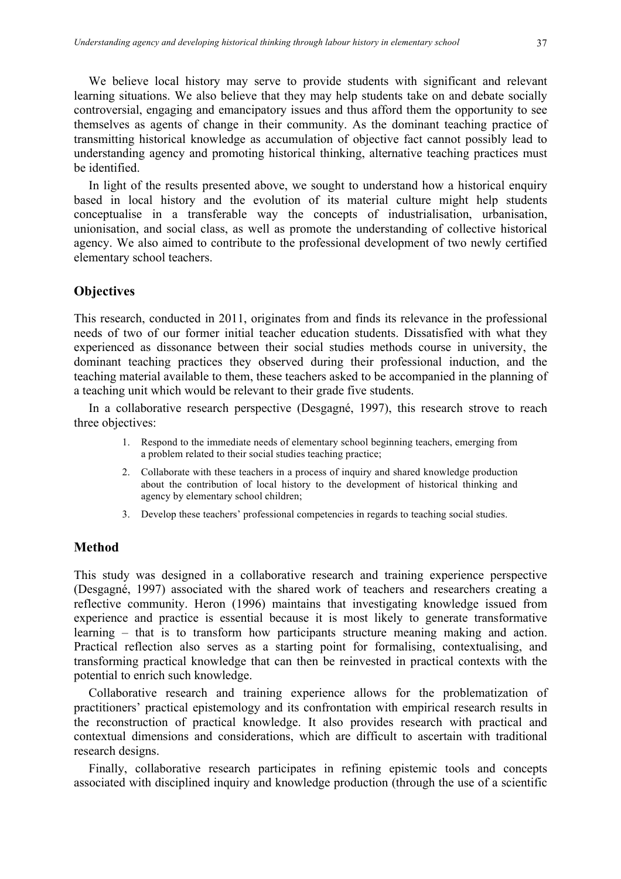We believe local history may serve to provide students with significant and relevant learning situations. We also believe that they may help students take on and debate socially controversial, engaging and emancipatory issues and thus afford them the opportunity to see themselves as agents of change in their community. As the dominant teaching practice of transmitting historical knowledge as accumulation of objective fact cannot possibly lead to understanding agency and promoting historical thinking, alternative teaching practices must be identified.

In light of the results presented above, we sought to understand how a historical enquiry based in local history and the evolution of its material culture might help students conceptualise in a transferable way the concepts of industrialisation, urbanisation, unionisation, and social class, as well as promote the understanding of collective historical agency. We also aimed to contribute to the professional development of two newly certified elementary school teachers.

# **Objectives**

This research, conducted in 2011, originates from and finds its relevance in the professional needs of two of our former initial teacher education students. Dissatisfied with what they experienced as dissonance between their social studies methods course in university, the dominant teaching practices they observed during their professional induction, and the teaching material available to them, these teachers asked to be accompanied in the planning of a teaching unit which would be relevant to their grade five students.

In a collaborative research perspective (Desgagné, 1997), this research strove to reach three objectives:

- 1. Respond to the immediate needs of elementary school beginning teachers, emerging from a problem related to their social studies teaching practice;
- 2. Collaborate with these teachers in a process of inquiry and shared knowledge production about the contribution of local history to the development of historical thinking and agency by elementary school children;
- 3. Develop these teachers' professional competencies in regards to teaching social studies.

# **Method**

This study was designed in a collaborative research and training experience perspective (Desgagné, 1997) associated with the shared work of teachers and researchers creating a reflective community. Heron (1996) maintains that investigating knowledge issued from experience and practice is essential because it is most likely to generate transformative learning – that is to transform how participants structure meaning making and action. Practical reflection also serves as a starting point for formalising, contextualising, and transforming practical knowledge that can then be reinvested in practical contexts with the potential to enrich such knowledge.

Collaborative research and training experience allows for the problematization of practitioners' practical epistemology and its confrontation with empirical research results in the reconstruction of practical knowledge. It also provides research with practical and contextual dimensions and considerations, which are difficult to ascertain with traditional research designs.

Finally, collaborative research participates in refining epistemic tools and concepts associated with disciplined inquiry and knowledge production (through the use of a scientific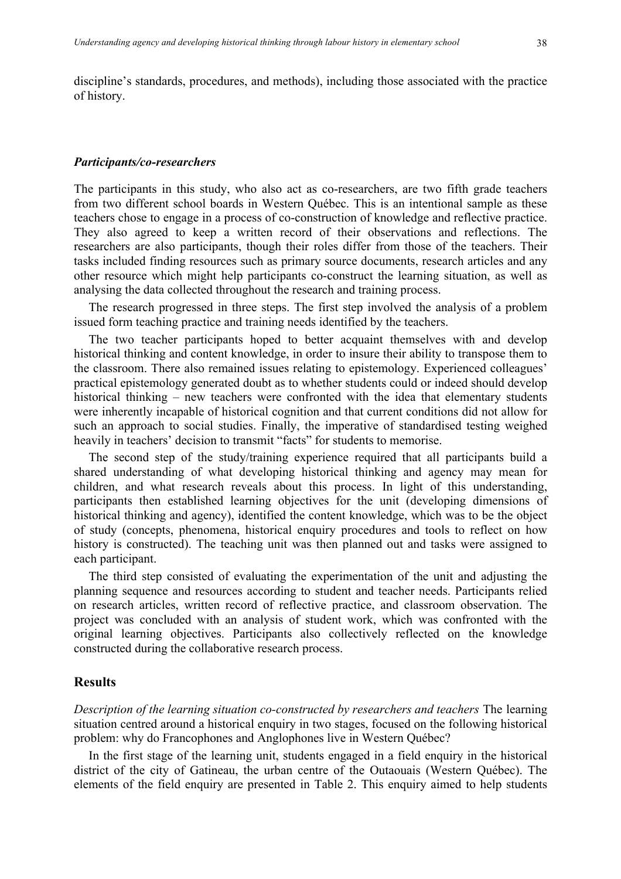discipline's standards, procedures, and methods), including those associated with the practice of history.

#### *Participants/co-researchers*

The participants in this study, who also act as co-researchers, are two fifth grade teachers from two different school boards in Western Québec. This is an intentional sample as these teachers chose to engage in a process of co-construction of knowledge and reflective practice. They also agreed to keep a written record of their observations and reflections. The researchers are also participants, though their roles differ from those of the teachers. Their tasks included finding resources such as primary source documents, research articles and any other resource which might help participants co-construct the learning situation, as well as analysing the data collected throughout the research and training process.

The research progressed in three steps. The first step involved the analysis of a problem issued form teaching practice and training needs identified by the teachers.

The two teacher participants hoped to better acquaint themselves with and develop historical thinking and content knowledge, in order to insure their ability to transpose them to the classroom. There also remained issues relating to epistemology. Experienced colleagues' practical epistemology generated doubt as to whether students could or indeed should develop historical thinking – new teachers were confronted with the idea that elementary students were inherently incapable of historical cognition and that current conditions did not allow for such an approach to social studies. Finally, the imperative of standardised testing weighed heavily in teachers' decision to transmit "facts" for students to memorise.

The second step of the study/training experience required that all participants build a shared understanding of what developing historical thinking and agency may mean for children, and what research reveals about this process. In light of this understanding, participants then established learning objectives for the unit (developing dimensions of historical thinking and agency), identified the content knowledge, which was to be the object of study (concepts, phenomena, historical enquiry procedures and tools to reflect on how history is constructed). The teaching unit was then planned out and tasks were assigned to each participant.

The third step consisted of evaluating the experimentation of the unit and adjusting the planning sequence and resources according to student and teacher needs. Participants relied on research articles, written record of reflective practice, and classroom observation. The project was concluded with an analysis of student work, which was confronted with the original learning objectives. Participants also collectively reflected on the knowledge constructed during the collaborative research process.

#### **Results**

*Description of the learning situation co-constructed by researchers and teachers* The learning situation centred around a historical enquiry in two stages, focused on the following historical problem: why do Francophones and Anglophones live in Western Québec?

In the first stage of the learning unit, students engaged in a field enquiry in the historical district of the city of Gatineau, the urban centre of the Outaouais (Western Québec). The elements of the field enquiry are presented in Table 2. This enquiry aimed to help students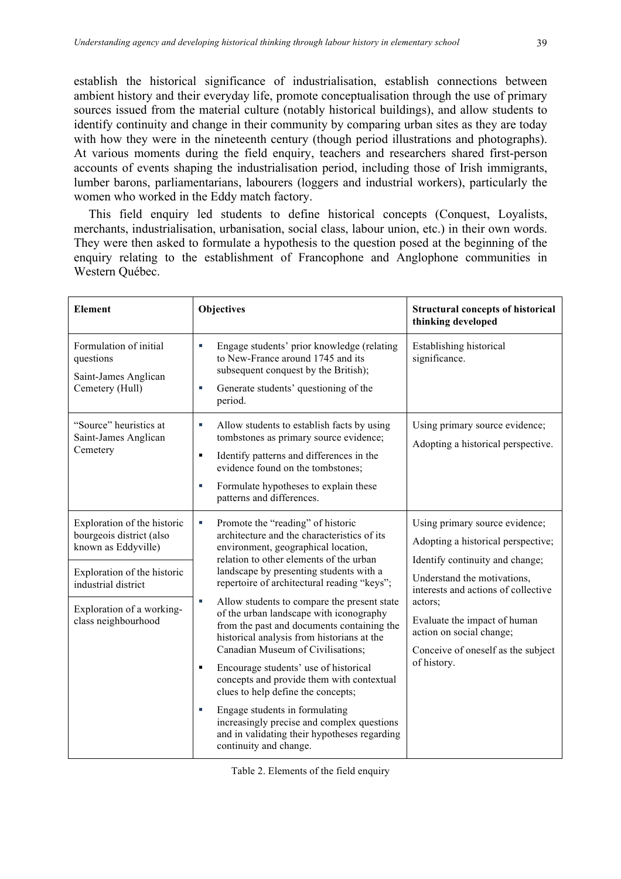establish the historical significance of industrialisation, establish connections between ambient history and their everyday life, promote conceptualisation through the use of primary sources issued from the material culture (notably historical buildings), and allow students to identify continuity and change in their community by comparing urban sites as they are today with how they were in the nineteenth century (though period illustrations and photographs). At various moments during the field enquiry, teachers and researchers shared first-person accounts of events shaping the industrialisation period, including those of Irish immigrants, lumber barons, parliamentarians, labourers (loggers and industrial workers), particularly the women who worked in the Eddy match factory.

This field enquiry led students to define historical concepts (Conquest, Loyalists, merchants, industrialisation, urbanisation, social class, labour union, etc.) in their own words. They were then asked to formulate a hypothesis to the question posed at the beginning of the enquiry relating to the establishment of Francophone and Anglophone communities in Western Québec.

| <b>Element</b>                                                                                                                                                                           | Objectives                                                                                                                                                                                                                                                                                                                                                                                                                                                                                                                                                                                                                                                                                                                                                                                           | <b>Structural concepts of historical</b><br>thinking developed                                                                                                                                                                                                                                            |  |
|------------------------------------------------------------------------------------------------------------------------------------------------------------------------------------------|------------------------------------------------------------------------------------------------------------------------------------------------------------------------------------------------------------------------------------------------------------------------------------------------------------------------------------------------------------------------------------------------------------------------------------------------------------------------------------------------------------------------------------------------------------------------------------------------------------------------------------------------------------------------------------------------------------------------------------------------------------------------------------------------------|-----------------------------------------------------------------------------------------------------------------------------------------------------------------------------------------------------------------------------------------------------------------------------------------------------------|--|
| Formulation of initial<br>questions<br>Saint-James Anglican<br>Cemetery (Hull)                                                                                                           | Engage students' prior knowledge (relating<br>T,<br>to New-France around 1745 and its<br>subsequent conquest by the British);<br>Generate students' questioning of the<br>×<br>period.                                                                                                                                                                                                                                                                                                                                                                                                                                                                                                                                                                                                               | Establishing historical<br>significance.                                                                                                                                                                                                                                                                  |  |
| "Source" heuristics at<br>Saint-James Anglican<br>Cemetery                                                                                                                               | Allow students to establish facts by using<br>u,<br>tombstones as primary source evidence;<br>Identify patterns and differences in the<br>п<br>evidence found on the tombstones;<br>Formulate hypotheses to explain these<br>u,<br>patterns and differences.                                                                                                                                                                                                                                                                                                                                                                                                                                                                                                                                         | Using primary source evidence;<br>Adopting a historical perspective.                                                                                                                                                                                                                                      |  |
| Exploration of the historic<br>bourgeois district (also<br>known as Eddyville)<br>Exploration of the historic<br>industrial district<br>Exploration of a working-<br>class neighbourhood | Promote the "reading" of historic<br>a,<br>architecture and the characteristics of its<br>environment, geographical location,<br>relation to other elements of the urban<br>landscape by presenting students with a<br>repertoire of architectural reading "keys";<br>Allow students to compare the present state<br>a,<br>of the urban landscape with iconography<br>from the past and documents containing the<br>historical analysis from historians at the<br>Canadian Museum of Civilisations;<br>Encourage students' use of historical<br>٠<br>concepts and provide them with contextual<br>clues to help define the concepts;<br>Engage students in formulating<br>×,<br>increasingly precise and complex questions<br>and in validating their hypotheses regarding<br>continuity and change. | Using primary source evidence;<br>Adopting a historical perspective;<br>Identify continuity and change;<br>Understand the motivations,<br>interests and actions of collective<br>actors;<br>Evaluate the impact of human<br>action on social change;<br>Conceive of oneself as the subject<br>of history. |  |

| Table 2. Elements of the field enquiry |  |  |
|----------------------------------------|--|--|
|                                        |  |  |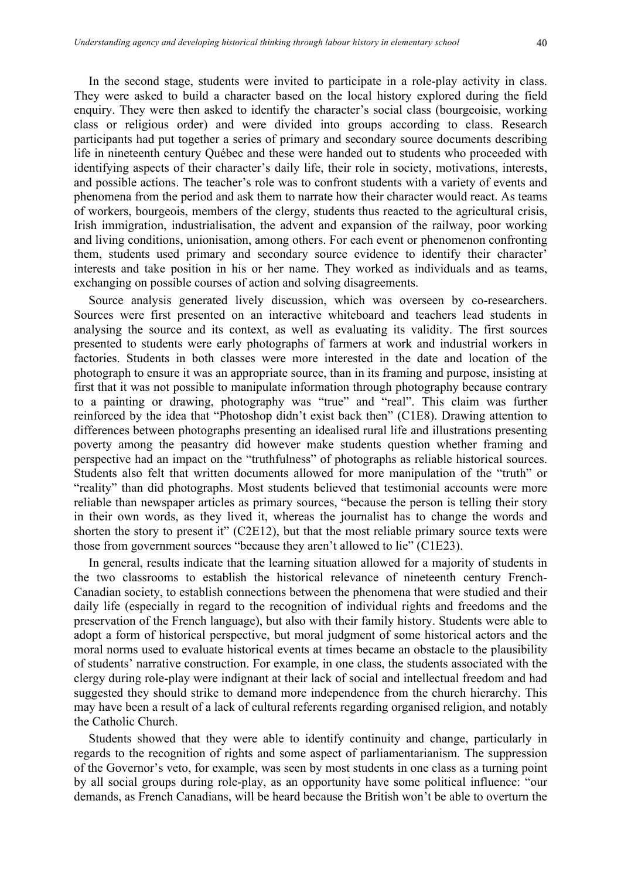In the second stage, students were invited to participate in a role-play activity in class. They were asked to build a character based on the local history explored during the field enquiry. They were then asked to identify the character's social class (bourgeoisie, working class or religious order) and were divided into groups according to class. Research participants had put together a series of primary and secondary source documents describing life in nineteenth century Québec and these were handed out to students who proceeded with identifying aspects of their character's daily life, their role in society, motivations, interests, and possible actions. The teacher's role was to confront students with a variety of events and phenomena from the period and ask them to narrate how their character would react. As teams of workers, bourgeois, members of the clergy, students thus reacted to the agricultural crisis, Irish immigration, industrialisation, the advent and expansion of the railway, poor working and living conditions, unionisation, among others. For each event or phenomenon confronting them, students used primary and secondary source evidence to identify their character' interests and take position in his or her name. They worked as individuals and as teams, exchanging on possible courses of action and solving disagreements.

Source analysis generated lively discussion, which was overseen by co-researchers. Sources were first presented on an interactive whiteboard and teachers lead students in analysing the source and its context, as well as evaluating its validity. The first sources presented to students were early photographs of farmers at work and industrial workers in factories. Students in both classes were more interested in the date and location of the photograph to ensure it was an appropriate source, than in its framing and purpose, insisting at first that it was not possible to manipulate information through photography because contrary to a painting or drawing, photography was "true" and "real". This claim was further reinforced by the idea that "Photoshop didn't exist back then" (C1E8). Drawing attention to differences between photographs presenting an idealised rural life and illustrations presenting poverty among the peasantry did however make students question whether framing and perspective had an impact on the "truthfulness" of photographs as reliable historical sources. Students also felt that written documents allowed for more manipulation of the "truth" or "reality" than did photographs. Most students believed that testimonial accounts were more reliable than newspaper articles as primary sources, "because the person is telling their story in their own words, as they lived it, whereas the journalist has to change the words and shorten the story to present it" (C2E12), but that the most reliable primary source texts were those from government sources "because they aren't allowed to lie" (C1E23).

In general, results indicate that the learning situation allowed for a majority of students in the two classrooms to establish the historical relevance of nineteenth century French-Canadian society, to establish connections between the phenomena that were studied and their daily life (especially in regard to the recognition of individual rights and freedoms and the preservation of the French language), but also with their family history. Students were able to adopt a form of historical perspective, but moral judgment of some historical actors and the moral norms used to evaluate historical events at times became an obstacle to the plausibility of students' narrative construction. For example, in one class, the students associated with the clergy during role-play were indignant at their lack of social and intellectual freedom and had suggested they should strike to demand more independence from the church hierarchy. This may have been a result of a lack of cultural referents regarding organised religion, and notably the Catholic Church.

Students showed that they were able to identify continuity and change, particularly in regards to the recognition of rights and some aspect of parliamentarianism. The suppression of the Governor's veto, for example, was seen by most students in one class as a turning point by all social groups during role-play, as an opportunity have some political influence: "our demands, as French Canadians, will be heard because the British won't be able to overturn the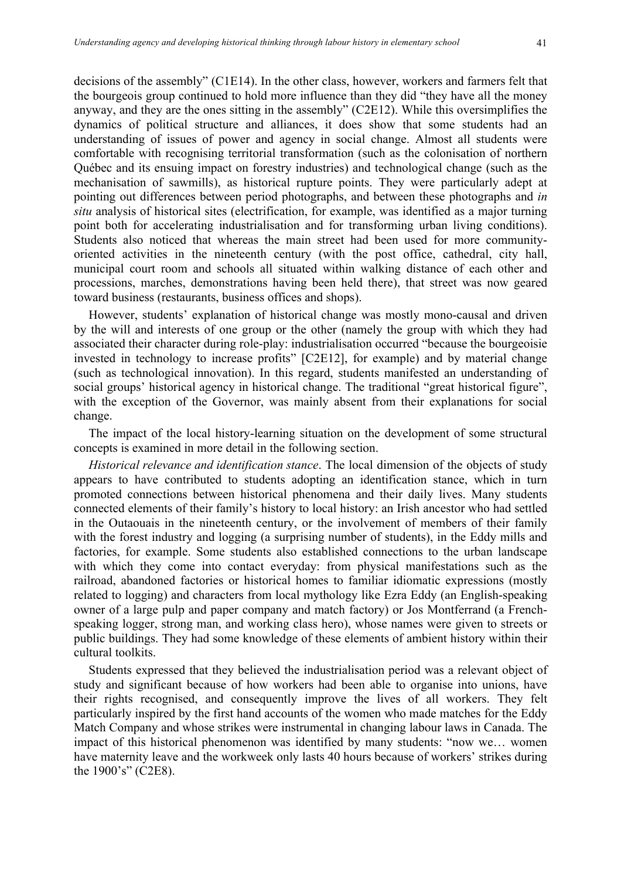decisions of the assembly" (C1E14). In the other class, however, workers and farmers felt that the bourgeois group continued to hold more influence than they did "they have all the money anyway, and they are the ones sitting in the assembly" (C2E12). While this oversimplifies the dynamics of political structure and alliances, it does show that some students had an understanding of issues of power and agency in social change. Almost all students were comfortable with recognising territorial transformation (such as the colonisation of northern Québec and its ensuing impact on forestry industries) and technological change (such as the mechanisation of sawmills), as historical rupture points. They were particularly adept at pointing out differences between period photographs, and between these photographs and *in situ* analysis of historical sites (electrification, for example, was identified as a major turning point both for accelerating industrialisation and for transforming urban living conditions). Students also noticed that whereas the main street had been used for more communityoriented activities in the nineteenth century (with the post office, cathedral, city hall, municipal court room and schools all situated within walking distance of each other and processions, marches, demonstrations having been held there), that street was now geared toward business (restaurants, business offices and shops).

However, students' explanation of historical change was mostly mono-causal and driven by the will and interests of one group or the other (namely the group with which they had associated their character during role-play: industrialisation occurred "because the bourgeoisie invested in technology to increase profits" [C2E12], for example) and by material change (such as technological innovation). In this regard, students manifested an understanding of social groups' historical agency in historical change. The traditional "great historical figure", with the exception of the Governor, was mainly absent from their explanations for social change.

The impact of the local history-learning situation on the development of some structural concepts is examined in more detail in the following section.

*Historical relevance and identification stance*. The local dimension of the objects of study appears to have contributed to students adopting an identification stance, which in turn promoted connections between historical phenomena and their daily lives. Many students connected elements of their family's history to local history: an Irish ancestor who had settled in the Outaouais in the nineteenth century, or the involvement of members of their family with the forest industry and logging (a surprising number of students), in the Eddy mills and factories, for example. Some students also established connections to the urban landscape with which they come into contact everyday: from physical manifestations such as the railroad, abandoned factories or historical homes to familiar idiomatic expressions (mostly related to logging) and characters from local mythology like Ezra Eddy (an English-speaking owner of a large pulp and paper company and match factory) or Jos Montferrand (a Frenchspeaking logger, strong man, and working class hero), whose names were given to streets or public buildings. They had some knowledge of these elements of ambient history within their cultural toolkits.

Students expressed that they believed the industrialisation period was a relevant object of study and significant because of how workers had been able to organise into unions, have their rights recognised, and consequently improve the lives of all workers. They felt particularly inspired by the first hand accounts of the women who made matches for the Eddy Match Company and whose strikes were instrumental in changing labour laws in Canada. The impact of this historical phenomenon was identified by many students: "now we… women have maternity leave and the workweek only lasts 40 hours because of workers' strikes during the 1900's" (C2E8).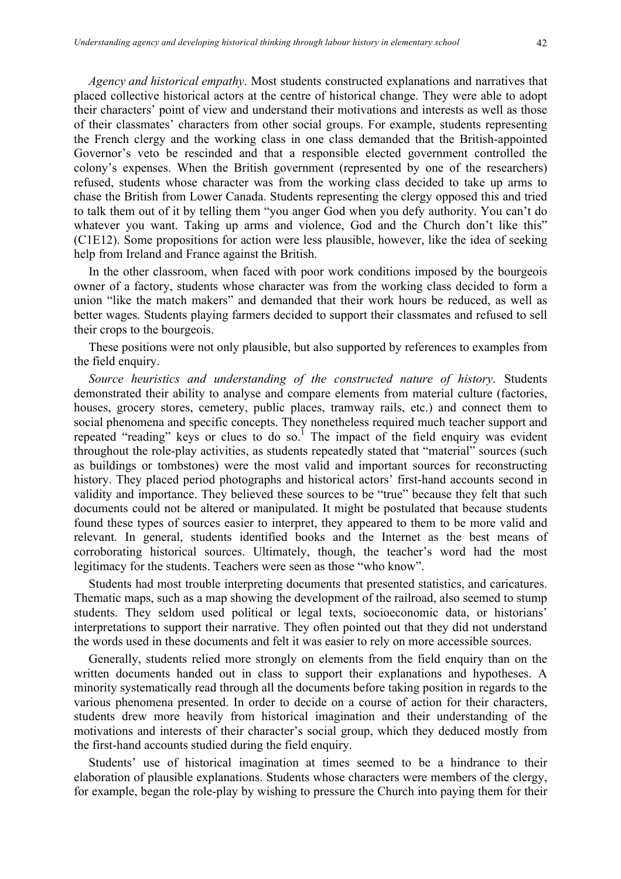*Agency and historical empathy*. Most students constructed explanations and narratives that placed collective historical actors at the centre of historical change. They were able to adopt their characters' point of view and understand their motivations and interests as well as those of their classmates' characters from other social groups. For example, students representing the French clergy and the working class in one class demanded that the British-appointed Governor's veto be rescinded and that a responsible elected government controlled the colony's expenses. When the British government (represented by one of the researchers) refused, students whose character was from the working class decided to take up arms to chase the British from Lower Canada. Students representing the clergy opposed this and tried to talk them out of it by telling them "you anger God when you defy authority. You can't do whatever you want. Taking up arms and violence, God and the Church don't like this" (C1E12). Some propositions for action were less plausible, however, like the idea of seeking help from Ireland and France against the British.

In the other classroom, when faced with poor work conditions imposed by the bourgeois owner of a factory, students whose character was from the working class decided to form a union "like the match makers" and demanded that their work hours be reduced, as well as better wages. Students playing farmers decided to support their classmates and refused to sell their crops to the bourgeois.

These positions were not only plausible, but also supported by references to examples from the field enquiry.

*Source heuristics and understanding of the constructed nature of history*. Students demonstrated their ability to analyse and compare elements from material culture (factories, houses, grocery stores, cemetery, public places, tramway rails, etc.) and connect them to social phenomena and specific concepts. They nonetheless required much teacher support and repeated "reading" keys or clues to do so.<sup>1</sup> The impact of the field enquiry was evident throughout the role-play activities, as students repeatedly stated that "material" sources (such as buildings or tombstones) were the most valid and important sources for reconstructing history. They placed period photographs and historical actors' first-hand accounts second in validity and importance. They believed these sources to be "true" because they felt that such documents could not be altered or manipulated. It might be postulated that because students found these types of sources easier to interpret, they appeared to them to be more valid and relevant. In general, students identified books and the Internet as the best means of corroborating historical sources. Ultimately, though, the teacher's word had the most legitimacy for the students. Teachers were seen as those "who know".

Students had most trouble interpreting documents that presented statistics, and caricatures. Thematic maps, such as a map showing the development of the railroad, also seemed to stump students. They seldom used political or legal texts, socioeconomic data, or historians' interpretations to support their narrative. They often pointed out that they did not understand the words used in these documents and felt it was easier to rely on more accessible sources.

Generally, students relied more strongly on elements from the field enquiry than on the written documents handed out in class to support their explanations and hypotheses. A minority systematically read through all the documents before taking position in regards to the various phenomena presented. In order to decide on a course of action for their characters, students drew more heavily from historical imagination and their understanding of the motivations and interests of their character's social group, which they deduced mostly from the first-hand accounts studied during the field enquiry.

Students' use of historical imagination at times seemed to be a hindrance to their elaboration of plausible explanations. Students whose characters were members of the clergy, for example, began the role-play by wishing to pressure the Church into paying them for their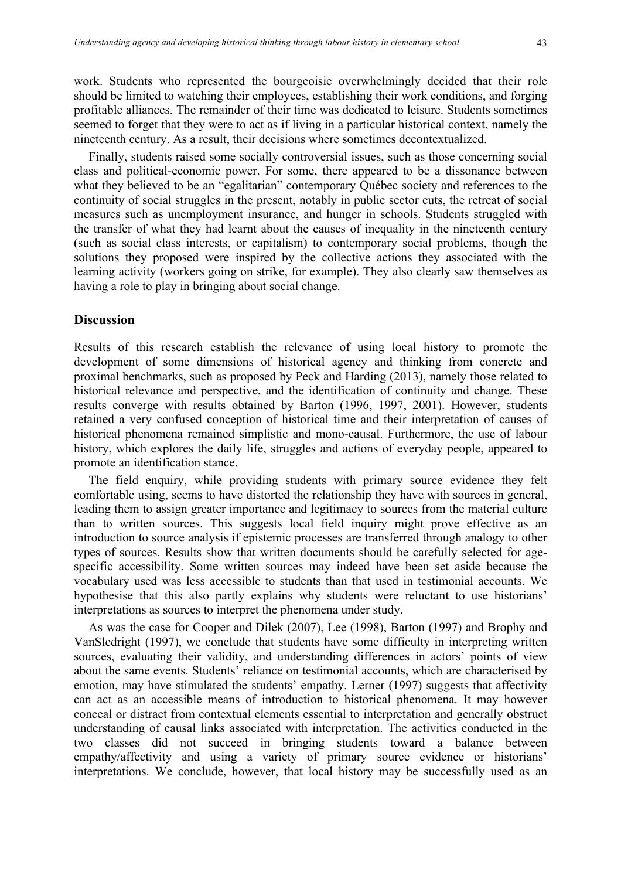work. Students who represented the bourgeoisie overwhelmingly decided that their role should be limited to watching their employees, establishing their work conditions, and forging profitable alliances. The remainder of their time was dedicated to leisure. Students sometimes seemed to forget that they were to act as if living in a particular historical context, namely the nineteenth century. As a result, their decisions where sometimes decontextualized.

Finally, students raised some socially controversial issues, such as those concerning social class and political-economic power. For some, there appeared to be a dissonance between what they believed to be an "egalitarian" contemporary Québec society and references to the continuity of social struggles in the present, notably in public sector cuts, the retreat of social measures such as unemployment insurance, and hunger in schools. Students struggled with the transfer of what they had learnt about the causes of inequality in the nineteenth century (such as social class interests, or capitalism) to contemporary social problems, though the solutions they proposed were inspired by the collective actions they associated with the learning activity (workers going on strike, for example). They also clearly saw themselves as having a role to play in bringing about social change.

## **Discussion**

Results of this research establish the relevance of using local history to promote the development of some dimensions of historical agency and thinking from concrete and proximal benchmarks, such as proposed by Peck and Harding (2013), namely those related to historical relevance and perspective, and the identification of continuity and change. These results converge with results obtained by Barton (1996, 1997, 2001). However, students retained a very confused conception of historical time and their interpretation of causes of historical phenomena remained simplistic and mono-causal. Furthermore, the use of labour history, which explores the daily life, struggles and actions of everyday people, appeared to promote an identification stance.

The field enquiry, while providing students with primary source evidence they felt comfortable using, seems to have distorted the relationship they have with sources in general, leading them to assign greater importance and legitimacy to sources from the material culture than to written sources. This suggests local field inquiry might prove effective as an introduction to source analysis if epistemic processes are transferred through analogy to other types of sources. Results show that written documents should be carefully selected for agespecific accessibility. Some written sources may indeed have been set aside because the vocabulary used was less accessible to students than that used in testimonial accounts. We hypothesise that this also partly explains why students were reluctant to use historians' interpretations as sources to interpret the phenomena under study.

As was the case for Cooper and Dilek (2007), Lee (1998), Barton (1997) and Brophy and VanSledright (1997), we conclude that students have some difficulty in interpreting written sources, evaluating their validity, and understanding differences in actors' points of view about the same events. Students' reliance on testimonial accounts, which are characterised by emotion, may have stimulated the students' empathy. Lerner (1997) suggests that affectivity can act as an accessible means of introduction to historical phenomena. It may however conceal or distract from contextual elements essential to interpretation and generally obstruct understanding of causal links associated with interpretation. The activities conducted in the two classes did not succeed in bringing students toward a balance between empathy/affectivity and using a variety of primary source evidence or historians' interpretations. We conclude, however, that local history may be successfully used as an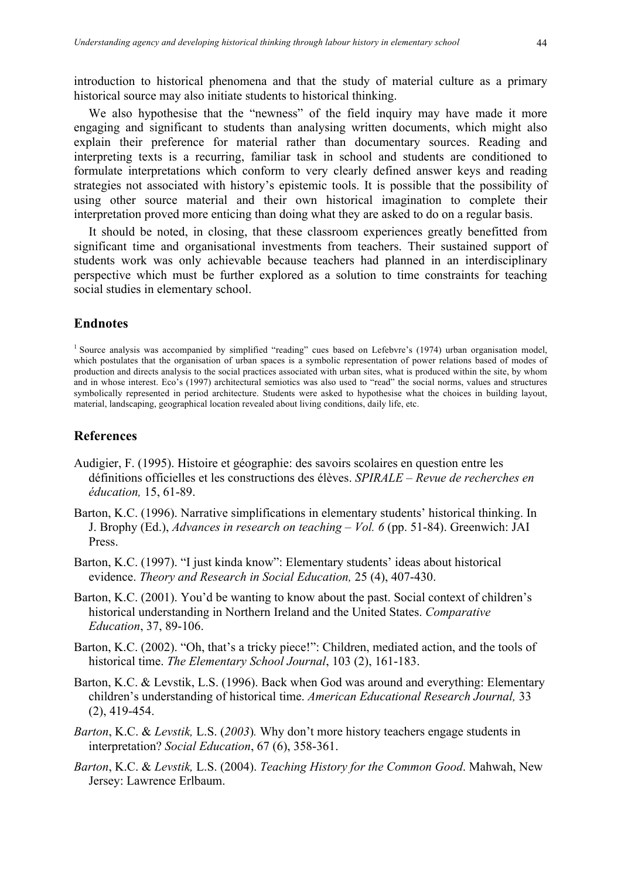introduction to historical phenomena and that the study of material culture as a primary historical source may also initiate students to historical thinking.

We also hypothesise that the "newness" of the field inquiry may have made it more engaging and significant to students than analysing written documents, which might also explain their preference for material rather than documentary sources. Reading and interpreting texts is a recurring, familiar task in school and students are conditioned to formulate interpretations which conform to very clearly defined answer keys and reading strategies not associated with history's epistemic tools. It is possible that the possibility of using other source material and their own historical imagination to complete their interpretation proved more enticing than doing what they are asked to do on a regular basis.

It should be noted, in closing, that these classroom experiences greatly benefitted from significant time and organisational investments from teachers. Their sustained support of students work was only achievable because teachers had planned in an interdisciplinary perspective which must be further explored as a solution to time constraints for teaching social studies in elementary school.

#### **Endnotes**

<sup>1</sup> Source analysis was accompanied by simplified "reading" cues based on Lefebvre's (1974) urban organisation model, which postulates that the organisation of urban spaces is a symbolic representation of power relations based of modes of production and directs analysis to the social practices associated with urban sites, what is produced within the site, by whom and in whose interest. Eco's (1997) architectural semiotics was also used to "read" the social norms, values and structures symbolically represented in period architecture. Students were asked to hypothesise what the choices in building layout, material, landscaping, geographical location revealed about living conditions, daily life, etc.

#### **References**

- Audigier, F. (1995). Histoire et géographie: des savoirs scolaires en question entre les définitions officielles et les constructions des élèves. *SPIRALE – Revue de recherches en éducation,* 15, 61-89.
- Barton, K.C. (1996). Narrative simplifications in elementary students' historical thinking. In J. Brophy (Ed.), *Advances in research on teaching – Vol. 6* (pp. 51-84). Greenwich: JAI Press.
- Barton, K.C. (1997). "I just kinda know": Elementary students' ideas about historical evidence. *Theory and Research in Social Education,* 25 (4), 407-430.
- Barton, K.C. (2001). You'd be wanting to know about the past. Social context of children's historical understanding in Northern Ireland and the United States. *Comparative Education*, 37, 89-106.
- Barton, K.C. (2002). "Oh, that's a tricky piece!": Children, mediated action, and the tools of historical time. *The Elementary School Journal*, 103 (2), 161-183.
- Barton, K.C. & Levstik, L.S. (1996). Back when God was around and everything: Elementary children's understanding of historical time. *American Educational Research Journal,* 33 (2), 419-454.
- *Barton*, K.C. & *Levstik,* L.S. (*2003*)*.* Why don't more history teachers engage students in interpretation? *Social Education*, 67 (6), 358-361.
- *Barton*, K.C. & *Levstik,* L.S. (2004). *Teaching History for the Common Good*. Mahwah, New Jersey: Lawrence Erlbaum.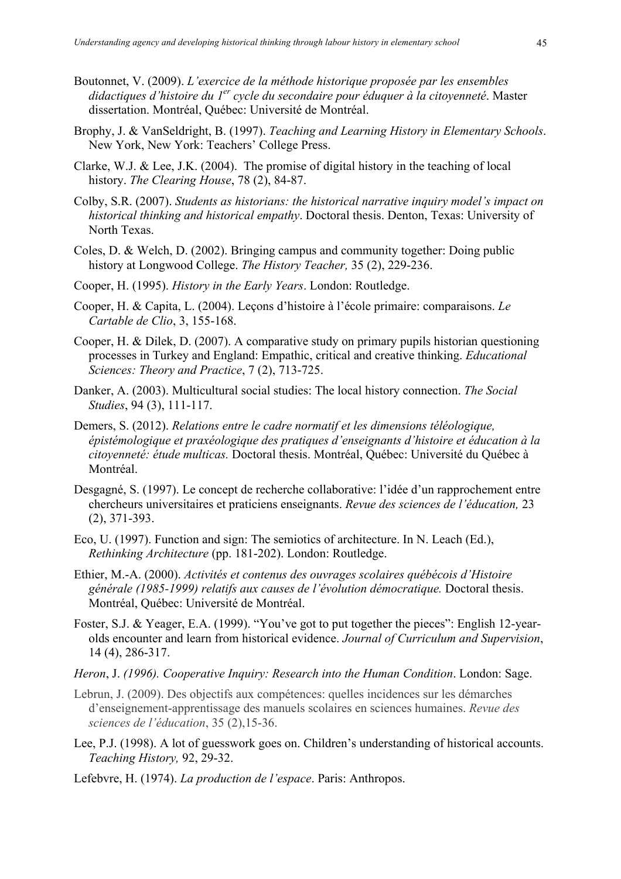- Boutonnet, V. (2009). *L'exercice de la méthode historique proposée par les ensembles didactiques d'histoire du 1er cycle du secondaire pour éduquer à la citoyenneté*. Master dissertation. Montréal, Québec: Université de Montréal.
- Brophy, J. & VanSeldright, B. (1997). *Teaching and Learning History in Elementary Schools*. New York, New York: Teachers' College Press.
- Clarke, W.J. & Lee, J.K. (2004). The promise of digital history in the teaching of local history. *The Clearing House*, 78 (2), 84-87.
- Colby, S.R. (2007). *Students as historians: the historical narrative inquiry model's impact on historical thinking and historical empathy*. Doctoral thesis. Denton, Texas: University of North Texas.
- Coles, D. & Welch, D. (2002). Bringing campus and community together: Doing public history at Longwood College. *The History Teacher,* 35 (2), 229-236.
- Cooper, H. (1995). *History in the Early Years*. London: Routledge.
- Cooper, H. & Capita, L. (2004). Leçons d'histoire à l'école primaire: comparaisons. *Le Cartable de Clio*, 3, 155-168.
- Cooper, H. & Dilek, D. (2007). A comparative study on primary pupils historian questioning processes in Turkey and England: Empathic, critical and creative thinking. *Educational Sciences: Theory and Practice*, 7 (2), 713-725.
- Danker, A. (2003). Multicultural social studies: The local history connection. *The Social Studies*, 94 (3), 111-117.
- Demers, S. (2012). *Relations entre le cadre normatif et les dimensions téléologique, épistémologique et praxéologique des pratiques d'enseignants d'histoire et éducation à la citoyenneté: étude multicas.* Doctoral thesis. Montréal, Québec: Université du Québec à Montréal.
- Desgagné, S. (1997). Le concept de recherche collaborative: l'idée d'un rapprochement entre chercheurs universitaires et praticiens enseignants. *Revue des sciences de l'éducation,* 23 (2), 371-393.
- Eco, U. (1997). Function and sign: The semiotics of architecture. In N. Leach (Ed.), *Rethinking Architecture* (pp. 181-202). London: Routledge.
- Ethier, M.-A. (2000). *Activités et contenus des ouvrages scolaires québécois d'Histoire générale (1985-1999) relatifs aux causes de l'évolution démocratique.* Doctoral thesis. Montréal, Québec: Université de Montréal.
- Foster, S.J. & Yeager, E.A. (1999). "You've got to put together the pieces": English 12-yearolds encounter and learn from historical evidence. *Journal of Curriculum and Supervision*, 14 (4), 286-317.
- *Heron*, J. *(1996). Cooperative Inquiry: Research into the Human Condition*. London: Sage.
- Lebrun, J. (2009). Des objectifs aux compétences: quelles incidences sur les démarches d'enseignement-apprentissage des manuels scolaires en sciences humaines. *Revue des sciences de l'éducation*, 35 (2),15-36.
- Lee, P.J. (1998). A lot of guesswork goes on. Children's understanding of historical accounts. *Teaching History,* 92, 29-32.
- Lefebvre, H. (1974). *La production de l'espace*. Paris: Anthropos.